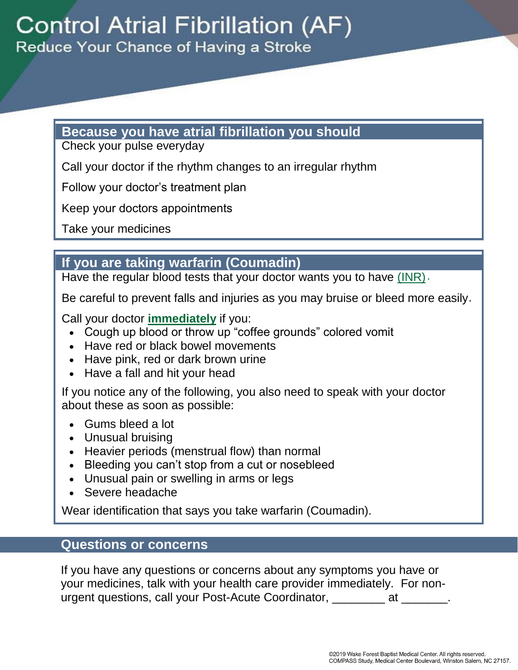## **Because you have atrial fibrillation you should**

Check your pulse everyday

Call your doctor if the rhythm changes to an irregular rhythm

Follow your doctor's treatment plan

Keep your doctors appointments

Take your medicines

# **If you are taking warfarin (Coumadin)**

Have the regular blood tests that your doctor wants you to have (INR).

Be careful to prevent falls and injuries as you may bruise or bleed more easily .

Call your doctor **immediately** if you:

- Cough up blood or throw up "coffee grounds" colored vomit
- Have red or black bowel movements
- Have pink, red or dark brown urine
- Have a fall and hit your head

If you notice any of the following, you also need to speak with your doctor about these as soon as possible:

- Gums bleed a lot
- Unusual bruising
- Heavier periods (menstrual flow) than normal
- Bleeding you can't stop from a cut or nosebleed
- Unusual pain or swelling in arms or legs
- Severe headache

Wear identification that says you take warfarin (Coumadin) .

## **Questions or concerns**

If you have any questions or concerns about any symptoms you have or your medicines, talk with your health care provider immediately. For nonurgent questions, call your Post-Acute Coordinator, \_\_\_\_\_\_\_\_ at \_\_\_\_\_\_\_.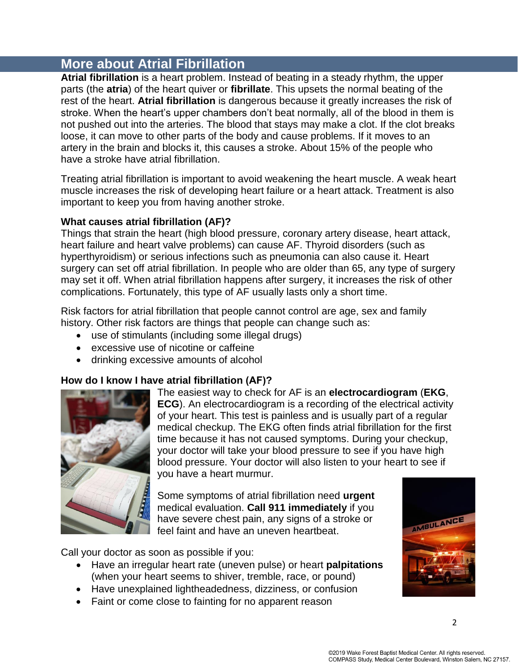# **More about Atrial Fibrillation**

**Atrial fibrillation** is a heart problem. Instead of beating in a steady rhythm, the upper parts (the **atria**) of the heart quiver or **fibrillate**. This upsets the normal beating of the rest of the heart. **Atrial fibrillation** is dangerous because it greatly increases the risk of stroke. When the heart's upper chambers don't beat normally, all of the blood in them is not pushed out into the arteries. The blood that stays may make a clot. If the clot breaks loose, it can move to other parts of the body and cause problems. If it moves to an artery in the brain and blocks it, this causes a stroke. About 15% of the people who have a stroke have atrial fibrillation.

Treating atrial fibrillation is important to avoid weakening the heart muscle. A weak heart muscle increases the risk of developing heart failure or a heart attack. Treatment is also important to keep you from having another stroke.

#### **What causes atrial fibrillation (AF)?**

Things that strain the heart (high blood pressure, coronary artery disease, heart attack, heart failure and heart valve problems) can cause AF. Thyroid disorders (such as hyperthyroidism) or serious infections such as pneumonia can also cause it. Heart surgery can set off atrial fibrillation. In people who are older than 65, any type of surgery may set it off. When atrial fibrillation happens after surgery, it increases the risk of other complications. Fortunately, this type of AF usually lasts only a short time.

Risk factors for atrial fibrillation that people cannot control are age, sex and family history. Other risk factors are things that people can change such as:

- use of stimulants (including some illegal drugs)
- excessive use of nicotine or caffeine
- drinking excessive amounts of alcohol

#### **How do I know I have atrial fibrillation (AF)?**



The easiest way to check for AF is an **[electrocardiogram](http://www.webmd.com/heart-disease/electrocardiogram#tp17356)** (**[EKG](http://www.webmd.com/heart-disease/electrocardiogram)**, **ECG**). An [electrocardiogram](http://www.webmd.com/heart-disease/electrocardiogram) is a recording of the electrical activity of your [heart.](http://www.webmd.com/heart/picture-of-the-heart) This test is painless and is usually part of a regular medical checkup. The EKG often finds atrial fibrillation for the first time because it has not caused symptoms. During your checkup, your doctor will take your [blood pressure](http://www.webmd.com/hypertension-high-blood-pressure/guide/blood-pressure-causes) to see if you have [high](http://www.webmd.com/hw-popup/high-blood-pressure-hypertension)  [blood pressure.](http://www.webmd.com/hw-popup/high-blood-pressure-hypertension) Your doctor will also listen to your heart to see if you have a [heart murmur.](http://www.webmd.com/hw-popup/heart-murmur)

Some symptoms of atrial fibrillation need **urgent** medical evaluation. **Call 911 immediately** if you have severe chest pain, any signs of a stroke or feel faint and have an uneven heartbeat.

Call your doctor as soon as possible if you:

- Have an irregular heart rate (uneven pulse) or heart **palpitations** (when your heart seems to shiver, tremble, race, or pound)
- Have unexplained lightheadedness, dizziness, or confusion
- Faint or come close to fainting for no apparent reason

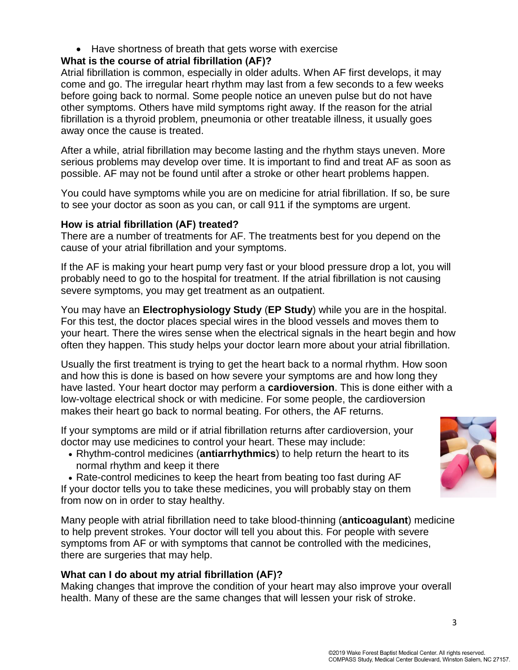• Have shortness of breath that gets worse with exercise

### **What is the course of atrial fibrillation (AF)?**

[Atrial fibrillation](http://www.webmd.com/heart-disease/atrial-fibrillation/) is common, especially in older adults. When AF first develops, it may come and go. The irregular heart rhythm may last from a few seconds to a few weeks before going back to normal. Some people notice an uneven pulse but do not have other symptoms. Others have mild symptoms right away. If the reason for the atrial fibrillation is a thyroid problem, pneumonia or other treatable illness, it usually goes away once the cause is treated.

After a while, atrial fibrillation may become lasting and the rhythm stays uneven. More serious problems may develop over time. It is important to find and treat AF as soon as possible. AF may not be found until after a stroke or other heart problems happen.

You could have symptoms while you are on medicine for atrial fibrillation. If so, be sure to see your doctor as soon as you can, or call 911 if the symptoms are urgent.

#### **How is atrial fibrillation (AF) treated?**

There are a number of treatments for AF. The treatments best for you depend on the cause of your atrial fibrillation and your symptoms.

If the AF is making your heart pump very fast or your blood pressure drop a lot, you will probably need to go to the hospital for treatment. If the atrial fibrillation is not causing severe symptoms, you may get treatment as an outpatient.

You may have an **Electrophysiology Study** (**EP Study**) while you are in the hospital. For this test, the doctor places special wires in the blood vessels and moves them to your heart. There the wires sense when the electrical signals in the heart begin and how often they happen. This study helps your doctor learn more about your atrial fibrillation.

Usually the first treatment is trying to get the heart back to a normal rhythm. How soon and how this is done is based on how severe your symptoms are and how long they have lasted. Your heart doctor may perform a **cardioversion**. This is done either with a low-voltage electrical shock or with medicine. For some people, the cardioversion makes their heart go back to normal beating. For others, the AF returns.

If your symptoms are mild or if atrial fibrillation returns after cardioversion, your doctor may use medicines to control your heart. These may include:

 Rhythm-control medicines (**[antiarrhythmics](http://www.webmd.com/hw-popup/antiarrhythmic-medications)**) to help return the heart to its normal rhythm and keep it there

• Rate-control medicines to keep the heart from beating too fast during AF If your doctor tells you to take these medicines, you will probably stay on them from now on in order to stay healthy.

Many people with atrial fibrillation need to take blood-thinning (**[anticoagulant](http://www.webmd.com/hw-popup/anticoagulants)**) medicine to help prevent strokes. Your doctor will tell you about this. For people with severe symptoms from AF or with symptoms that cannot be controlled with the medicines, there are surgeries that may help.

#### **What can I do about my atrial fibrillation (AF)?**

Making changes that improve the condition of your heart may also improve your overall health. Many of these are the same changes that will lessen your risk of stroke.

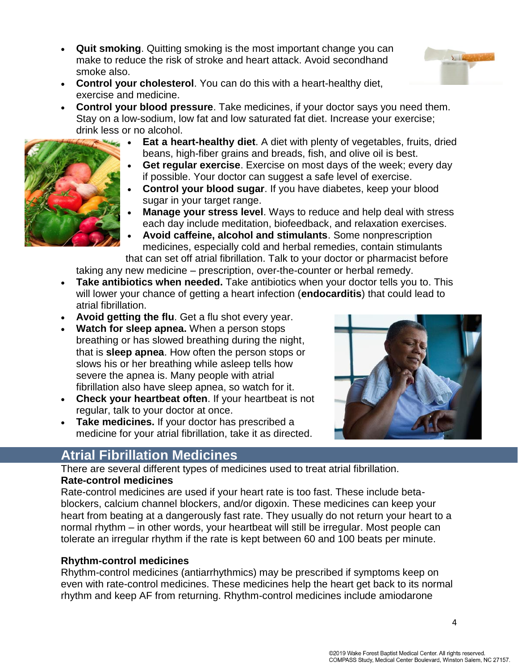**Quit smoking**. Quitting smoking is the most important change you can make to reduce the risk of stroke and heart attack. Avoid secondhand smoke also.



 **Control your blood pressure**. Take medicines, if your doctor says you need them. Stay on a low-sodium, low fat and low saturated fat diet. Increase your exercise; drink less or no alcohol.



- **Eat a heart-healthy diet**. A diet with plenty of vegetables, fruits, dried beans, high-fiber grains and breads, fish, and olive oil is best.
- **Get regular exercise**. Exercise on most days of the week; every day if possible. Your doctor can suggest a safe level of exercise.
- **Control your blood sugar**. If you have diabetes, keep your blood sugar in your target range.
- **Manage your stress level**. Ways to reduce and help deal with stress each day include meditation, biofeedback, and relaxation exercises.
- **Avoid caffeine, alcohol and stimulants**. Some nonprescription medicines, especially cold and herbal remedies, contain stimulants that can set off atrial fibrillation. Talk to your doctor or pharmacist before

taking any new medicine – prescription, over-the-counter or herbal remedy.

- **Take antibiotics when needed.** Take [antibiotics](http://www.webmd.com/hw-popup/antibiotics) when your doctor tells you to. This will lower your chance of getting a heart infection (**[endocarditis](http://www.webmd.com/hw-popup/endocarditis)**) that could lead to atrial fibrillation.
- **Avoid getting the [flu](http://www.webmd.com/hw-popup/influenza-flu)**. Get a flu shot every year.
- **Watch for sleep apnea.** When a person stops breathing or has slowed breathing during the night, that is **sleep apnea**. How often the person stops or slows his or her breathing while asleep tells how severe the apnea is. Many people with atrial fibrillation also have sleep apnea, so watch for it.
- **Check your heartbeat often**. If your heartbeat is not regular, talk to your doctor at once.
- **Take medicines.** If your doctor has prescribed a medicine for your atrial fibrillation, take it as directed.



 $\sum_{i=1}^{n}$ 

## **Atrial Fibrillation Medicines**

There are several different types of medicines used to treat atrial fibrillation. **Rate-control medicines** 

Rate-control medicines are used if your heart rate is too fast. These include betablockers, calcium channel blockers, and/or digoxin. These medicines can keep your heart from beating at a dangerously fast rate. They usually do not return your heart to a normal rhythm – in other words, your heartbeat will still be irregular. Most people can tolerate an irregular rhythm if the rate is kept between 60 and 100 beats per minute.

#### **Rhythm-control medicines**

Rhythm-control medicines (antiarrhythmics) may be prescribed if symptoms keep on even with rate-control medicines. These medicines help the heart get back to its normal rhythm and keep AF from returning. Rhythm-control medicines include amiodarone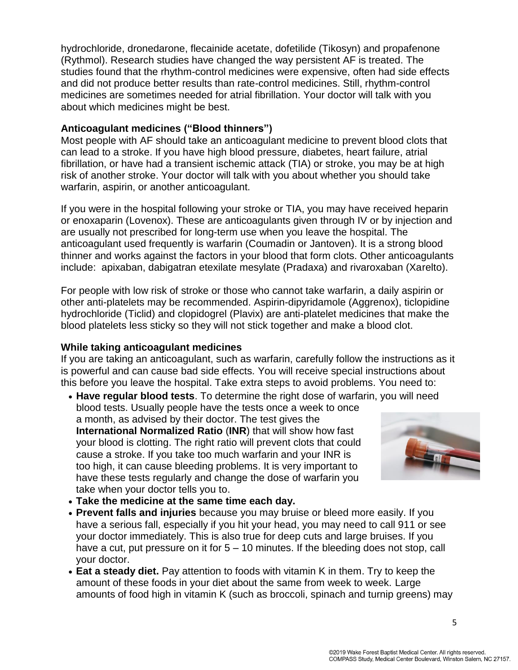hydrochloride, dronedarone, flecainide acetate, dofetilide (Tikosyn) and propafenone (Rythmol). Research studies have changed the way persistent AF is treated. The studies found that the rhythm-control medicines were expensive, often had side effects and did not produce better results than rate-control medicines. Still, rhythm-control medicines are sometimes needed for atrial fibrillation. Your doctor will talk with you about which medicines might be best.

#### **Anticoagulant medicines ("Blood thinners")**

Most people with AF should take an anticoagulant medicine to prevent blood clots that can lead to a [stroke.](http://www.webmd.com/hw-popup/stroke-7439) If you have high blood pressure, diabetes, heart failure, atrial fibrillation, or have had a [transient ischemic attack \(TIA\) or stroke](http://www.webmd.com/hw-popup/transient-ischemic-attack-tia), you may be at high risk of another stroke. Your doctor will talk with you about whether you should take warfarin, aspirin, or another anticoagulant.

If you were in the hospital following your stroke or TIA, you may have received heparin or enoxaparin (Lovenox). These are anticoagulants given through IV or by injection and are usually not prescribed for long-term use when you leave the hospital. The anticoagulant used frequently is warfarin (Coumadin or Jantoven). It is a strong blood thinner and works against the factors in your blood that form clots. Other anticoagulants include: apixaban, dabigatran etexilate mesylate (Pradaxa) and rivaroxaban (Xarelto).

For people with low risk of stroke or those who cannot take warfarin, a daily [aspirin](http://www.webmd.com/stroke/aspirin-for-stroke-and-transient-ischemic-attack-tia#hw215028) or other anti-platelets may be recommended. Aspirin-dipyridamole (Aggrenox), ticlopidine hydrochloride (Ticlid) and clopidogrel (Plavix) are anti-platelet medicines that make the blood platelets less sticky so they will not stick together and make a blood clot.

#### **While taking anticoagulant medicines**

If you are taking an anticoagulant, such as warfarin, carefully follow the instructions as it is powerful and can cause bad side effects. You will receive special instructions about this before you leave the hospital. Take extra steps to avoid problems. You need to:

- **Have regular blood tests**. To determine the right dose of warfarin, you will need blood tests. Usually people have the tests once a week to once a month, as advised by their doctor. The test gives the **International Normalized Ratio** (**INR**) that will show how fast your blood is clotting. The right ratio will prevent clots that could cause a stroke. If you take too much warfarin and your INR is too high, it can cause bleeding problems. It is very important to have these tests regularly and change the dose of warfarin you take when your doctor tells you to.
	-
- **Take the medicine at the same time each day.**
- **Prevent falls and injuries** because you may bruise or bleed more easily. If you have a serious fall, especially if you hit your head, you may need to call 911 or see your doctor immediately. This is also true for deep cuts and large bruises. If you have a cut, put pressure on it for 5 – 10 minutes. If the bleeding does not stop, call your doctor.
- **Eat a steady diet.** Pay attention to foods with vitamin K in them. Try to keep the amount of these foods in your diet about the same from week to week. Large amounts of food high in vitamin K (such as broccoli, spinach and turnip greens) may